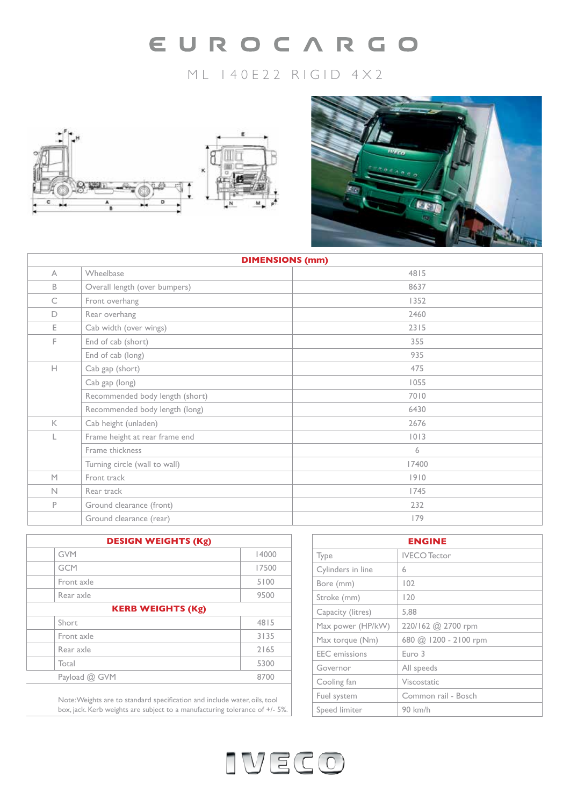# EUROCARGO

# ML 140E22 RIGID 4X2





| <b>DIMENSIONS (mm)</b> |                                 |       |  |
|------------------------|---------------------------------|-------|--|
| $\wedge$               | Wheelbase                       | 4815  |  |
| B                      | Overall length (over bumpers)   | 8637  |  |
| C                      | Front overhang                  | 1352  |  |
| D                      | Rear overhang                   | 2460  |  |
| E.                     | Cab width (over wings)          | 2315  |  |
| F.                     | End of cab (short)              | 355   |  |
|                        | End of cab (long)               | 935   |  |
| H.                     | Cab gap (short)                 | 475   |  |
|                        | Cab gap (long)                  | 1055  |  |
|                        | Recommended body length (short) | 7010  |  |
|                        | Recommended body length (long)  | 6430  |  |
| $\mathsf{K}$           | Cab height (unladen)            | 2676  |  |
|                        | Frame height at rear frame end  | 0 3   |  |
|                        | Frame thickness                 | 6     |  |
|                        | Turning circle (wall to wall)   | 17400 |  |
| M                      | Front track                     | 1910  |  |
| $\mathbb N$            | Rear track                      | 1745  |  |
| P                      | Ground clearance (front)        | 232   |  |
|                        | Ground clearance (rear)         | 179   |  |

| <b>DESIGN WEIGHTS (Kg)</b> |       |
|----------------------------|-------|
| <b>GVM</b>                 | 14000 |
| <b>GCM</b>                 | 17500 |
| Front axle                 | 5100  |
| Rear axle                  | 9500  |
| <b>KERB WEIGHTS (Kg)</b>   |       |
| Short                      | 4815  |
| Front axle                 | 3135  |
| Rear axle                  | 2165  |
| Total                      | 5300  |
| Payload @ GVM              | 8700  |
|                            |       |

Note: Weights are to standard specification and include water, oils, tool box, jack. Kerb weights are subject to a manufacturing tolerance of +/- 5%.

| <b>ENGINE</b>        |                       |  |
|----------------------|-----------------------|--|
| Type                 | <b>IVECO</b> Tector   |  |
| Cylinders in line    | 6                     |  |
| Bore (mm)            | 102                   |  |
| Stroke (mm)          | 120                   |  |
| Capacity (litres)    | 5,88                  |  |
| Max power (HP/kW)    | 220/162 @ 2700 rpm    |  |
| Max torque (Nm)      | 680 @ 1200 - 2100 rpm |  |
| <b>EEC</b> emissions | Euro 3                |  |
| Governor             | All speeds            |  |
| Cooling fan          | Viscostatic           |  |
| Fuel system          | Common rail - Bosch   |  |
| Speed limiter        | 90 km/h               |  |